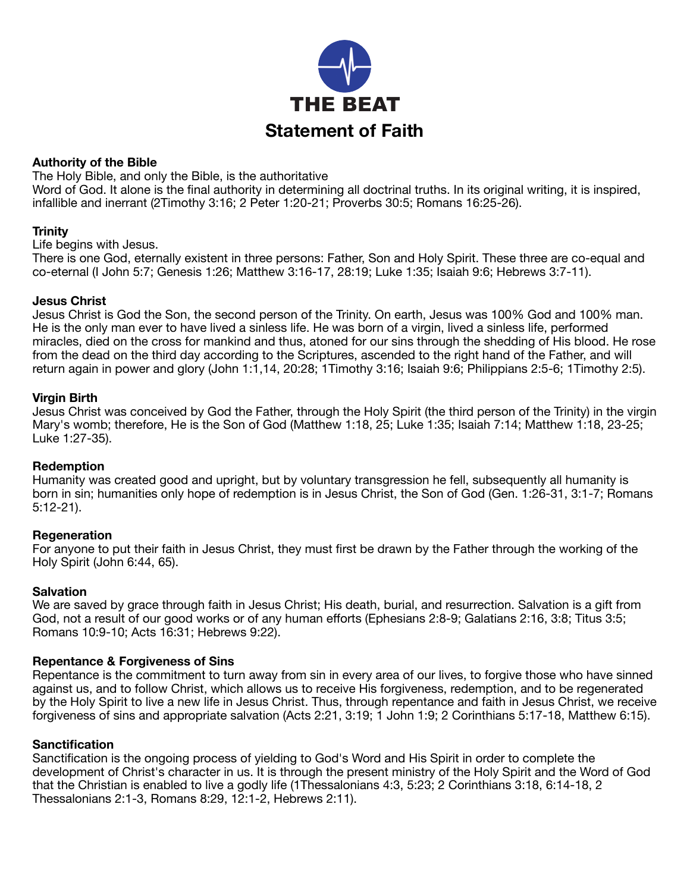

### **Authority of the Bible**

The Holy Bible, and only the Bible, is the authoritative

Word of God. It alone is the final authority in determining all doctrinal truths. In its original writing, it is inspired, infallible and inerrant (2Timothy 3:16; 2 Peter 1:20-21; Proverbs 30:5; Romans 16:25-26).

#### **Trinity**

Life begins with Jesus.

There is one God, eternally existent in three persons: Father, Son and Holy Spirit. These three are co-equal and co-eternal (I John 5:7; Genesis 1:26; Matthew 3:16-17, 28:19; Luke 1:35; Isaiah 9:6; Hebrews 3:7-11).

#### **Jesus Christ**

Jesus Christ is God the Son, the second person of the Trinity. On earth, Jesus was 100% God and 100% man. He is the only man ever to have lived a sinless life. He was born of a virgin, lived a sinless life, performed miracles, died on the cross for mankind and thus, atoned for our sins through the shedding of His blood. He rose from the dead on the third day according to the Scriptures, ascended to the right hand of the Father, and will return again in power and glory (John 1:1,14, 20:28; 1Timothy 3:16; Isaiah 9:6; Philippians 2:5-6; 1Timothy 2:5).

#### **Virgin Birth**

Jesus Christ was conceived by God the Father, through the Holy Spirit (the third person of the Trinity) in the virgin Mary's womb; therefore, He is the Son of God (Matthew 1:18, 25; Luke 1:35; Isaiah 7:14; Matthew 1:18, 23-25; Luke 1:27-35).

#### **Redemption**

Humanity was created good and upright, but by voluntary transgression he fell, subsequently all humanity is born in sin; humanities only hope of redemption is in Jesus Christ, the Son of God (Gen. 1:26-31, 3:1-7; Romans 5:12-21).

#### **Regeneration**

For anyone to put their faith in Jesus Christ, they must first be drawn by the Father through the working of the Holy Spirit (John 6:44, 65).

#### **Salvation**

We are saved by grace through faith in Jesus Christ; His death, burial, and resurrection. Salvation is a gift from God, not a result of our good works or of any human efforts (Ephesians 2:8-9; Galatians 2:16, 3:8; Titus 3:5; Romans 10:9-10; Acts 16:31; Hebrews 9:22).

#### **Repentance & Forgiveness of Sins**

Repentance is the commitment to turn away from sin in every area of our lives, to forgive those who have sinned against us, and to follow Christ, which allows us to receive His forgiveness, redemption, and to be regenerated by the Holy Spirit to live a new life in Jesus Christ. Thus, through repentance and faith in Jesus Christ, we receive forgiveness of sins and appropriate salvation (Acts 2:21, 3:19; 1 John 1:9; 2 Corinthians 5:17-18, Matthew 6:15).

#### **Sanctification**

Sanctification is the ongoing process of yielding to God's Word and His Spirit in order to complete the development of Christ's character in us. It is through the present ministry of the Holy Spirit and the Word of God that the Christian is enabled to live a godly life (1Thessalonians 4:3, 5:23; 2 Corinthians 3:18, 6:14-18, 2 Thessalonians 2:1-3, Romans 8:29, 12:1-2, Hebrews 2:11).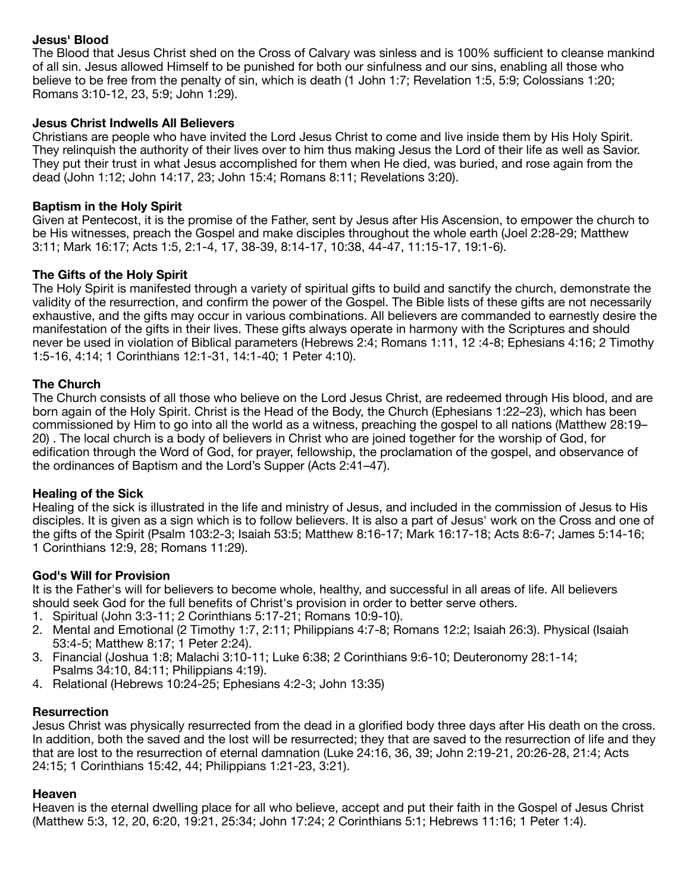# **Jesus' Blood**

The Blood that Jesus Christ shed on the Cross of Calvary was sinless and is 100% sufficient to cleanse mankind of all sin. Jesus allowed Himself to be punished for both our sinfulness and our sins, enabling all those who believe to be free from the penalty of sin, which is death (1 John 1:7; Revelation 1:5, 5:9; Colossians 1:20; Romans 3:10-12, 23, 5:9; John 1:29).

## **Jesus Christ Indwells All Believers**

Christians are people who have invited the Lord Jesus Christ to come and live inside them by His Holy Spirit. They relinquish the authority of their lives over to him thus making Jesus the Lord of their life as well as Savior. They put their trust in what Jesus accomplished for them when He died, was buried, and rose again from the dead (John 1:12; John 14:17, 23; John 15:4; Romans 8:11; Revelations 3:20).

### **Baptism in the Holy Spirit**

Given at Pentecost, it is the promise of the Father, sent by Jesus after His Ascension, to empower the church to be His witnesses, preach the Gospel and make disciples throughout the whole earth (Joel 2:28-29; Matthew 3:11; Mark 16:17; Acts 1:5, 2:1-4, 17, 38-39, 8:14-17, 10:38, 44-47, 11:15-17, 19:1-6).

# **The Gifts of the Holy Spirit**

The Holy Spirit is manifested through a variety of spiritual gifts to build and sanctify the church, demonstrate the validity of the resurrection, and confirm the power of the Gospel. The Bible lists of these gifts are not necessarily exhaustive, and the gifts may occur in various combinations. All believers are commanded to earnestly desire the manifestation of the gifts in their lives. These gifts always operate in harmony with the Scriptures and should never be used in violation of Biblical parameters (Hebrews 2:4; Romans 1:11, 12 :4-8; Ephesians 4:16; 2 Timothy 1:5-16, 4:14; 1 Corinthians 12:1-31, 14:1-40; 1 Peter 4:10).

### **The Church**

The Church consists of all those who believe on the Lord Jesus Christ, are redeemed through His blood, and are born again of the Holy Spirit. Christ is the Head of the Body, the Church (Ephesians 1:22–23), which has been commissioned by Him to go into all the world as a witness, preaching the gospel to all nations (Matthew 28:19– 20) . The local church is a body of believers in Christ who are joined together for the worship of God, for edification through the Word of God, for prayer, fellowship, the proclamation of the gospel, and observance of the ordinances of Baptism and the Lord's Supper (Acts 2:41–47).

### **Healing of the Sick**

Healing of the sick is illustrated in the life and ministry of Jesus, and included in the commission of Jesus to His disciples. It is given as a sign which is to follow believers. It is also a part of Jesus' work on the Cross and one of the gifts of the Spirit (Psalm 103:2-3; Isaiah 53:5; Matthew 8:16-17; Mark 16:17-18; Acts 8:6-7; James 5:14-16; 1 Corinthians 12:9, 28; Romans 11:29).

### **God's Will for Provision**

It is the Father's will for believers to become whole, healthy, and successful in all areas of life. All believers should seek God for the full benefits of Christ's provision in order to better serve others.

- 1. Spiritual (John 3:3-11; 2 Corinthians 5:17-21; Romans 10:9-10).
- 2. Mental and Emotional (2 Timothy 1:7, 2:11; Philippians 4:7-8; Romans 12:2; Isaiah 26:3). Physical (Isaiah 53:4-5; Matthew 8:17; 1 Peter 2:24).
- 3. Financial (Joshua 1:8; Malachi 3:10-11; Luke 6:38; 2 Corinthians 9:6-10; Deuteronomy 28:1-14; Psalms 34:10, 84:11; Philippians 4:19).
- 4. Relational (Hebrews 10:24-25; Ephesians 4:2-3; John 13:35)

### **Resurrection**

Jesus Christ was physically resurrected from the dead in a glorified body three days after His death on the cross. In addition, both the saved and the lost will be resurrected; they that are saved to the resurrection of life and they that are lost to the resurrection of eternal damnation (Luke 24:16, 36, 39; John 2:19-21, 20:26-28, 21:4; Acts 24:15; 1 Corinthians 15:42, 44; Philippians 1:21-23, 3:21).

### **Heaven**

Heaven is the eternal dwelling place for all who believe, accept and put their faith in the Gospel of Jesus Christ (Matthew 5:3, 12, 20, 6:20, 19:21, 25:34; John 17:24; 2 Corinthians 5:1; Hebrews 11:16; 1 Peter 1:4).